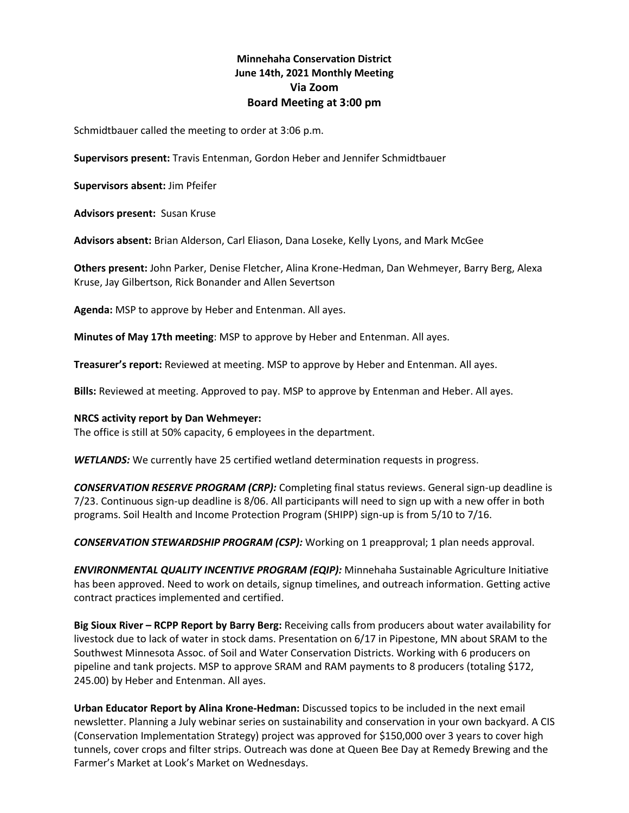# **Minnehaha Conservation District June 14th, 2021 Monthly Meeting Via Zoom Board Meeting at 3:00 pm**

Schmidtbauer called the meeting to order at 3:06 p.m.

**Supervisors present:** Travis Entenman, Gordon Heber and Jennifer Schmidtbauer

**Supervisors absent:** Jim Pfeifer

**Advisors present:** Susan Kruse

**Advisors absent:** Brian Alderson, Carl Eliason, Dana Loseke, Kelly Lyons, and Mark McGee

**Others present:** John Parker, Denise Fletcher, Alina Krone-Hedman, Dan Wehmeyer, Barry Berg, Alexa Kruse, Jay Gilbertson, Rick Bonander and Allen Severtson

**Agenda:** MSP to approve by Heber and Entenman. All ayes.

**Minutes of May 17th meeting**: MSP to approve by Heber and Entenman. All ayes.

**Treasurer's report:** Reviewed at meeting. MSP to approve by Heber and Entenman. All ayes.

**Bills:** Reviewed at meeting. Approved to pay. MSP to approve by Entenman and Heber. All ayes.

### **NRCS activity report by Dan Wehmeyer:**

The office is still at 50% capacity, 6 employees in the department.

*WETLANDS:* We currently have 25 certified wetland determination requests in progress.

*CONSERVATION RESERVE PROGRAM (CRP):* Completing final status reviews. General sign-up deadline is 7/23. Continuous sign-up deadline is 8/06. All participants will need to sign up with a new offer in both programs. Soil Health and Income Protection Program (SHIPP) sign-up is from 5/10 to 7/16.

*CONSERVATION STEWARDSHIP PROGRAM (CSP):* Working on 1 preapproval; 1 plan needs approval.

*ENVIRONMENTAL QUALITY INCENTIVE PROGRAM (EQIP):* Minnehaha Sustainable Agriculture Initiative has been approved. Need to work on details, signup timelines, and outreach information. Getting active contract practices implemented and certified.

**Big Sioux River – RCPP Report by Barry Berg:** Receiving calls from producers about water availability for livestock due to lack of water in stock dams. Presentation on 6/17 in Pipestone, MN about SRAM to the Southwest Minnesota Assoc. of Soil and Water Conservation Districts. Working with 6 producers on pipeline and tank projects. MSP to approve SRAM and RAM payments to 8 producers (totaling \$172, 245.00) by Heber and Entenman. All ayes.

**Urban Educator Report by Alina Krone-Hedman:** Discussed topics to be included in the next email newsletter. Planning a July webinar series on sustainability and conservation in your own backyard. A CIS (Conservation Implementation Strategy) project was approved for \$150,000 over 3 years to cover high tunnels, cover crops and filter strips. Outreach was done at Queen Bee Day at Remedy Brewing and the Farmer's Market at Look's Market on Wednesdays.